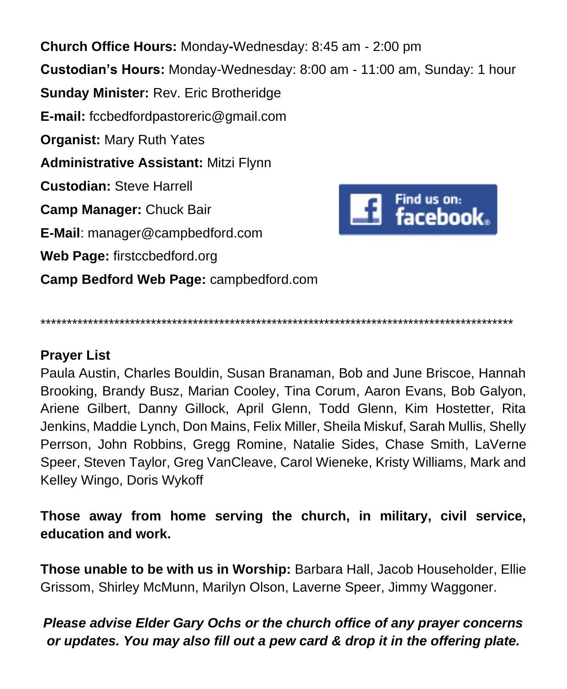**Church Office Hours:** Monday**-**Wednesday: 8:45 am - 2:00 pm **Custodian's Hours:** Monday-Wednesday: 8:00 am - 11:00 am, Sunday: 1 hour **Sunday Minister:** Rev. Eric Brotheridge **E-mail:** fccbedfordpastoreric@gmail.com **Organist:** Mary Ruth Yates **Administrative Assistant:** Mitzi Flynn **Custodian:** Steve Harrell Find us on: Find us on:<br>**facebook**.. **Camp Manager:** Chuck Bair **E-Mail**: manager@campbedford.com **Web Page:** firstccbedford.org **Camp Bedford Web Page:** campbedford.com

\*\*\*\*\*\*\*\*\*\*\*\*\*\*\*\*\*\*\*\*\*\*\*\*\*\*\*\*\*\*\*\*\*\*\*\*\*\*\*\*\*\*\*\*\*\*\*\*\*\*\*\*\*\*\*\*\*\*\*\*\*\*\*\*\*\*\*\*\*\*\*\*\*\*\*\*\*\*\*\*\*\*\*\*\*\*\*\*\*\*

### **Prayer List**

Paula Austin, Charles Bouldin, Susan Branaman, Bob and June Briscoe, Hannah Brooking, Brandy Busz, Marian Cooley, Tina Corum, Aaron Evans, Bob Galyon, Ariene Gilbert, Danny Gillock, April Glenn, Todd Glenn, Kim Hostetter, Rita Jenkins, Maddie Lynch, Don Mains, Felix Miller, Sheila Miskuf, Sarah Mullis, Shelly Perrson, John Robbins, Gregg Romine, Natalie Sides, Chase Smith, LaVerne Speer, Steven Taylor, Greg VanCleave, Carol Wieneke, Kristy Williams, Mark and Kelley Wingo, Doris Wykoff

**Those away from home serving the church, in military, civil service, education and work.**

**Those unable to be with us in Worship:** Barbara Hall, Jacob Householder, Ellie Grissom, Shirley McMunn, Marilyn Olson, Laverne Speer, Jimmy Waggoner.

## *Please advise Elder Gary Ochs or the church office of any prayer concerns or updates. You may also fill out a pew card & drop it in the offering plate.*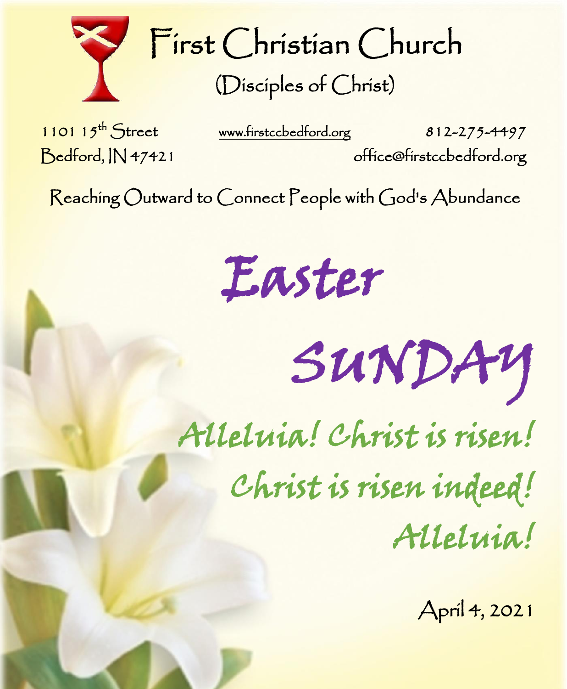

First Christian Church (Disciples of Christ)

1101  $15^{th}$  Street

l

֡֡

i

l

ļ

[www.firstccbedford.org](http://www.firstccbedford.org/) 812-275-4497 Bedford, IN 47421 office@firstccbedford.org

Reaching Outward to Connect People with God's Abundance  $\sf Reaching$   $\cal O$ utward to  $\cal C$ onnect  $\sf P$ eople with  $\sf C$ od's  $\sf Abundance$ 

Easter

SUNDAY

Alleluia! Christ is risen!

Christ is risen indeed!

Alleluia!

April 4, 2021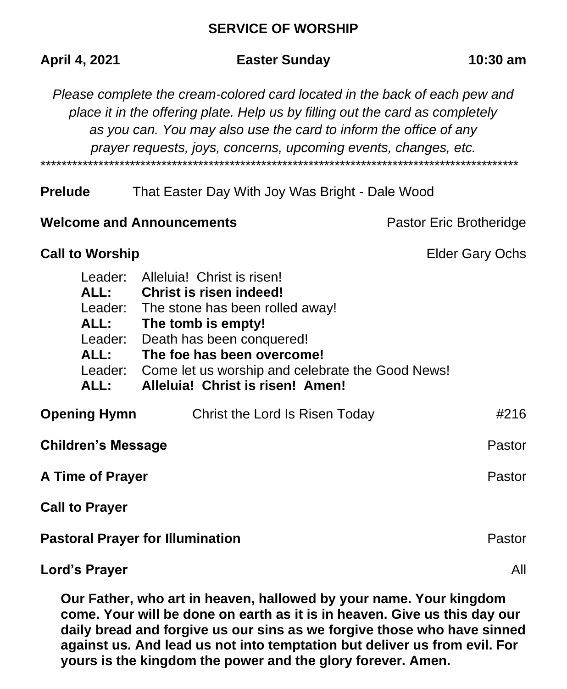#### **SERVICE OF WORSHIP**

| April 4, 2021                                                                                                                                                                                                                                                                                       | <b>Easter Sunday</b>                                                                                                                                                                                                                                              | $10:30$ am              |  |
|-----------------------------------------------------------------------------------------------------------------------------------------------------------------------------------------------------------------------------------------------------------------------------------------------------|-------------------------------------------------------------------------------------------------------------------------------------------------------------------------------------------------------------------------------------------------------------------|-------------------------|--|
| Please complete the cream-colored card located in the back of each pew and<br>place it in the offering plate. Help us by filling out the card as completely<br>as you can. You may also use the card to inform the office of any<br>prayer requests, joys, concerns, upcoming events, changes, etc. |                                                                                                                                                                                                                                                                   |                         |  |
| <b>Prelude</b>                                                                                                                                                                                                                                                                                      | That Easter Day With Joy Was Bright - Dale Wood                                                                                                                                                                                                                   |                         |  |
| <b>Welcome and Announcements</b>                                                                                                                                                                                                                                                                    |                                                                                                                                                                                                                                                                   | Pastor Eric Brotheridge |  |
| <b>Call to Worship</b>                                                                                                                                                                                                                                                                              |                                                                                                                                                                                                                                                                   | <b>Elder Gary Ochs</b>  |  |
| Leader:<br>ALL:<br>Leader:<br>ALL:<br>Leader:<br>ALL:<br>Leader:<br>ALL:                                                                                                                                                                                                                            | Alleluia! Christ is risen!<br>Christ is risen indeed!<br>The stone has been rolled away!<br>The tomb is empty!<br>Death has been conquered!<br>The foe has been overcome!<br>Come let us worship and celebrate the Good News!<br>Alleluia! Christ is risen! Amen! |                         |  |
| <b>Opening Hymn</b>                                                                                                                                                                                                                                                                                 | Christ the Lord Is Risen Today                                                                                                                                                                                                                                    | #216                    |  |
| <b>Children's Message</b>                                                                                                                                                                                                                                                                           |                                                                                                                                                                                                                                                                   | Pastor                  |  |
| <b>A Time of Prayer</b>                                                                                                                                                                                                                                                                             |                                                                                                                                                                                                                                                                   | Pastor                  |  |
| <b>Call to Prayer</b>                                                                                                                                                                                                                                                                               |                                                                                                                                                                                                                                                                   |                         |  |
| <b>Pastoral Prayer for Illumination</b>                                                                                                                                                                                                                                                             | Pastor                                                                                                                                                                                                                                                            |                         |  |
| Lord's Prayer                                                                                                                                                                                                                                                                                       |                                                                                                                                                                                                                                                                   |                         |  |

**Our Father, who art in heaven, hallowed by your name. Your kingdom come. Your will be done on earth as it is in heaven. Give us this day our daily bread and forgive us our sins as we forgive those who have sinned against us. And lead us not into temptation but deliver us from evil. For yours is the kingdom the power and the glory forever. Amen.**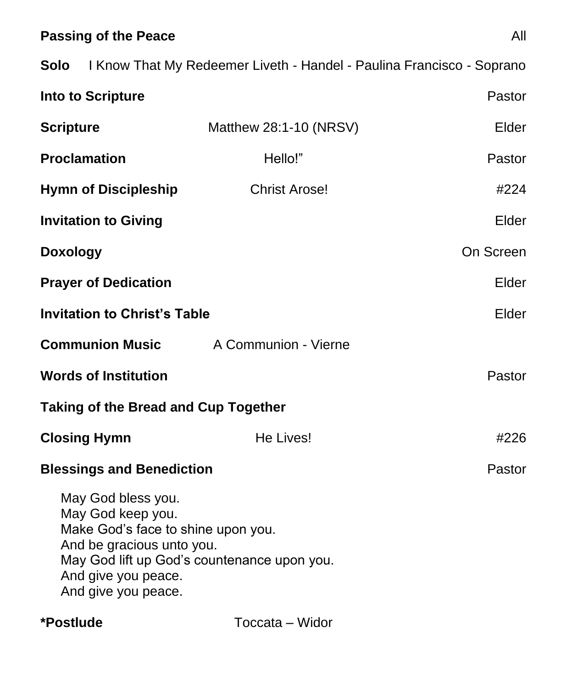# **Passing of the Peace** All

|                                                                                                                                                          | <b>Solo</b> I Know That My Redeemer Liveth - Handel - Paulina Francisco - Soprano |           |
|----------------------------------------------------------------------------------------------------------------------------------------------------------|-----------------------------------------------------------------------------------|-----------|
| <b>Into to Scripture</b>                                                                                                                                 |                                                                                   | Pastor    |
| <b>Scripture</b>                                                                                                                                         | Matthew 28:1-10 (NRSV)                                                            | Elder     |
| <b>Proclamation</b>                                                                                                                                      | Hello!"                                                                           | Pastor    |
| <b>Hymn of Discipleship</b>                                                                                                                              | <b>Christ Arose!</b>                                                              | #224      |
| <b>Invitation to Giving</b>                                                                                                                              |                                                                                   | Elder     |
| <b>Doxology</b>                                                                                                                                          |                                                                                   | On Screen |
| <b>Prayer of Dedication</b>                                                                                                                              |                                                                                   | Elder     |
| <b>Invitation to Christ's Table</b>                                                                                                                      |                                                                                   | Elder     |
| <b>Communion Music</b>                                                                                                                                   | A Communion - Vierne                                                              |           |
| <b>Words of Institution</b>                                                                                                                              |                                                                                   | Pastor    |
| <b>Taking of the Bread and Cup Together</b>                                                                                                              |                                                                                   |           |
| <b>Closing Hymn</b>                                                                                                                                      | He Lives!                                                                         | #226      |
| <b>Blessings and Benediction</b>                                                                                                                         |                                                                                   | Pastor    |
| May God bless you.<br>May God keep you.<br>Make God's face to shine upon you.<br>And be gracious unto you.<br>And give you peace.<br>And give you peace. | May God lift up God's countenance upon you.                                       |           |

**\*Postlude** Toccata – Widor